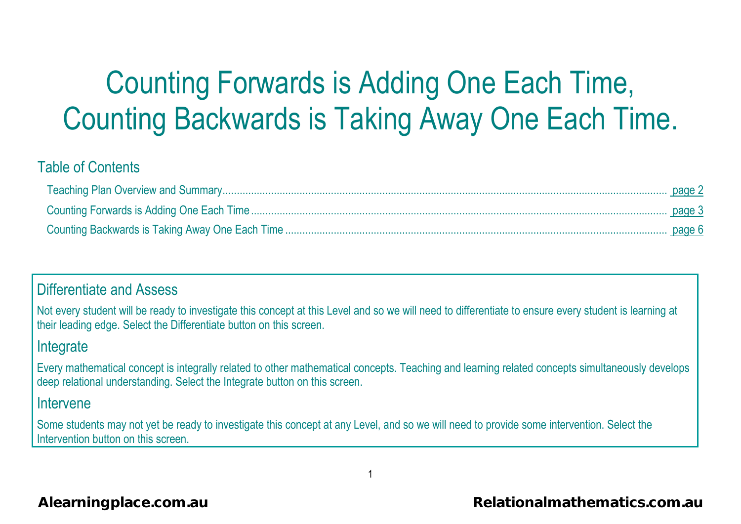# Counting Forwards is Adding One Each Time, Counting Backwards is Taking Away One Each Time.

# Table of Contents

# Differentiate and Assess

Not every student will be ready to investigate this concept at this Level and so we will need to differentiate to ensure every student is learning at their leading edge. Select the Differentiate button on this screen.

### **Integrate**

Every mathematical concept is integrally related to other mathematical concepts. Teaching and learning related concepts simultaneously develops deep relational understanding. Select the Integrate button on this screen.

### Intervene

Some students may not yet be ready to investigate this concept at any Level, and so we will need to provide some intervention. Select the Intervention button on this screen.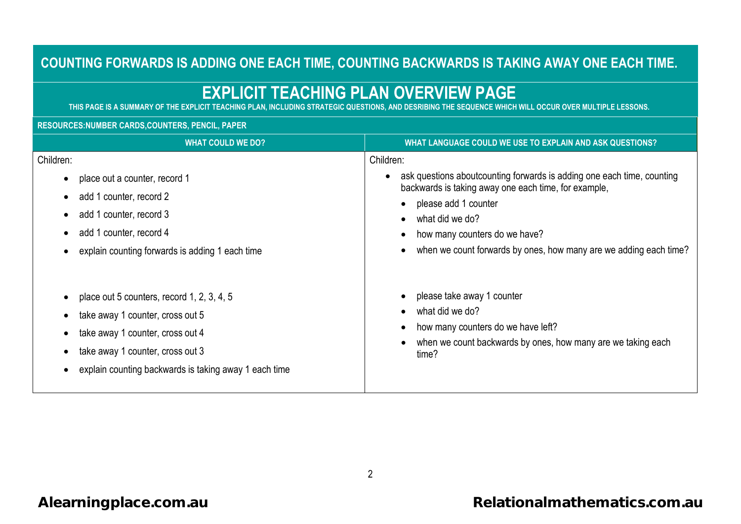# **COUNTING FORWARDS IS ADDING ONE EACH TIME, COUNTING BACKWARDS IS TAKING AWAY ONE EACH TIME.**

# **EXPLICIT TEACHING PLAN OVERVIEW PAGE**

**THIS PAGE IS A SUMMARY OF THE EXPLICIT TEACHING PLAN, INCLUDING STRATEGIC QUESTIONS, AND DESRIBING THE SEQUENCE WHICH WILL OCCUR OVER MULTIPLE LESSONS.**

#### **RESOURCES:NUMBER CARDS,COUNTERS, PENCIL, PAPER**

| <b>WHAT COULD WE DO?</b>                                                                                                                                                                                                                                                                             | WHAT LANGUAGE COULD WE USE TO EXPLAIN AND ASK QUESTIONS?                                                                                                                                                                                                                                                                                                                                                                                                                                                                                        |
|------------------------------------------------------------------------------------------------------------------------------------------------------------------------------------------------------------------------------------------------------------------------------------------------------|-------------------------------------------------------------------------------------------------------------------------------------------------------------------------------------------------------------------------------------------------------------------------------------------------------------------------------------------------------------------------------------------------------------------------------------------------------------------------------------------------------------------------------------------------|
| Children:<br>place out a counter, record 1<br>add 1 counter, record 2<br>add 1 counter, record 3<br>add 1 counter, record 4<br>explain counting forwards is adding 1 each time<br>place out 5 counters, record 1, 2, 3, 4, 5<br>take away 1 counter, cross out 5<br>take away 1 counter, cross out 4 | Children:<br>ask questions about counting forwards is adding one each time, counting<br>backwards is taking away one each time, for example,<br>please add 1 counter<br>$\bullet$<br>what did we do?<br>$\bullet$<br>how many counters do we have?<br>$\bullet$<br>when we count forwards by ones, how many are we adding each time?<br>$\bullet$<br>please take away 1 counter<br>$\bullet$<br>what did we do?<br>$\bullet$<br>how many counters do we have left?<br>$\bullet$<br>when we count backwards by ones, how many are we taking each |
| take away 1 counter, cross out 3<br>explain counting backwards is taking away 1 each time                                                                                                                                                                                                            | time?                                                                                                                                                                                                                                                                                                                                                                                                                                                                                                                                           |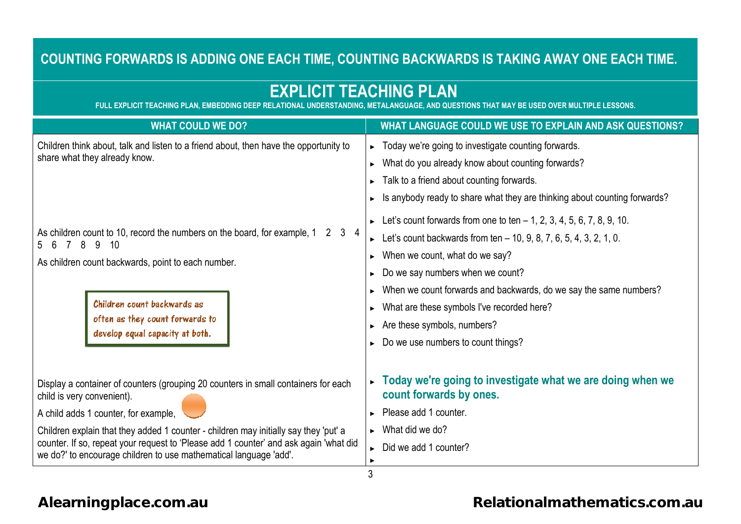# COUNTING FORWARDS IS ADDING ONE EACH TIME, COUNTING BACKWARDS IS TAKING AWAY ONE EACH TIME.

# **EXPLICIT TEACHING PLAN**

FULL EXPLICIT TEACHING PLAN, EMBEDDING DEEP RELATIONAL UNDERSTANDING, METALANGUAGE, AND QUESTIONS THAT MAY BE USED OVER MULTIPLE LESSONS.

| <b>WHAT COULD WE DO?</b>                                                                                                                                                                                                                                                                                                                                                                                            | WHAT LANGUAGE COULD WE USE TO EXPLAIN AND ASK QUESTIONS?                                                                                                                                                                                                                                                                                                                                                                                                                                                                                                                                                                                |
|---------------------------------------------------------------------------------------------------------------------------------------------------------------------------------------------------------------------------------------------------------------------------------------------------------------------------------------------------------------------------------------------------------------------|-----------------------------------------------------------------------------------------------------------------------------------------------------------------------------------------------------------------------------------------------------------------------------------------------------------------------------------------------------------------------------------------------------------------------------------------------------------------------------------------------------------------------------------------------------------------------------------------------------------------------------------------|
| Children think about, talk and listen to a friend about, then have the opportunity to<br>share what they already know.<br>As children count to 10, record the numbers on the board, for example, 1<br>2 3<br>-4<br>$\overline{7}$<br>- 6<br>8 9 10<br>5.<br>As children count backwards, point to each number.<br>Children count backwards as<br>often as they count forwards to<br>develop equal capacity at both. | ► Today we're going to investigate counting forwards.<br>What do you already know about counting forwards?<br>Talk to a friend about counting forwards.<br>Is anybody ready to share what they are thinking about counting forwards?<br>Example 1, 2, 3, 4, 5, 6, 7, 8, 9, 10.<br>• Let's count backwards from ten $-10$ , 9, 8, 7, 6, 5, 4, 3, 2, 1, 0.<br>When we count, what do we say?<br>Do we say numbers when we count?<br>When we count forwards and backwards, do we say the same numbers?<br>What are these symbols I've recorded here?<br>$\triangleright$ Are these symbols, numbers?<br>Do we use numbers to count things? |
| Display a container of counters (grouping 20 counters in small containers for each<br>child is very convenient).<br>A child adds 1 counter, for example,<br>Children explain that they added 1 counter - children may initially say they 'put' a<br>counter. If so, repeat your request to 'Please add 1 counter' and ask again 'what did<br>we do?' to encourage children to use mathematical language 'add'.      | Today we're going to investigate what we are doing when we<br>count forwards by ones.<br>Please add 1 counter.<br>$\triangleright$ What did we do?<br>$\triangleright$ Did we add 1 counter?<br>3                                                                                                                                                                                                                                                                                                                                                                                                                                       |

# **[Relationalmathematics.com.au](https://relationalmathematics.com.au/)**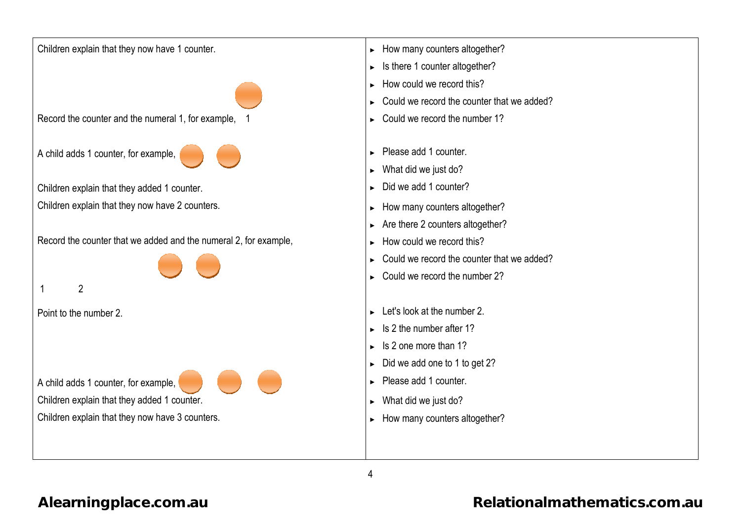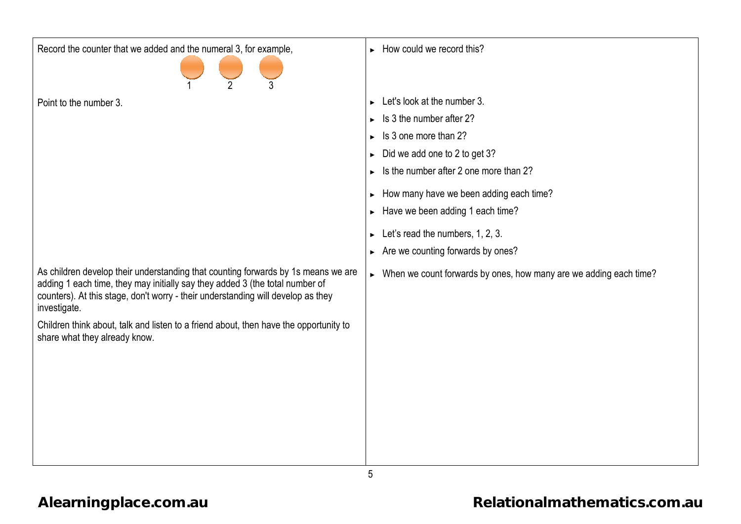| Record the counter that we added and the numeral 3, for example,                                                                                                                                                                                                                                                                                                                                | $\blacktriangleright$ How could we record this?                                                                                                                                                                                                                                                                                                            |
|-------------------------------------------------------------------------------------------------------------------------------------------------------------------------------------------------------------------------------------------------------------------------------------------------------------------------------------------------------------------------------------------------|------------------------------------------------------------------------------------------------------------------------------------------------------------------------------------------------------------------------------------------------------------------------------------------------------------------------------------------------------------|
| Point to the number 3.                                                                                                                                                                                                                                                                                                                                                                          | Let's look at the number 3.<br>Is 3 the number after 2?<br>Is 3 one more than 2?<br>Did we add one to 2 to get 3?<br>Is the number after 2 one more than 2?<br>How many have we been adding each time?<br>Have we been adding 1 each time?<br>$\blacktriangleright$ Let's read the numbers, 1, 2, 3.<br>$\triangleright$ Are we counting forwards by ones? |
| As children develop their understanding that counting forwards by 1s means we are<br>adding 1 each time, they may initially say they added 3 (the total number of<br>counters). At this stage, don't worry - their understanding will develop as they<br>investigate.<br>Children think about, talk and listen to a friend about, then have the opportunity to<br>share what they already know. | > When we count forwards by ones, how many are we adding each time?                                                                                                                                                                                                                                                                                        |

5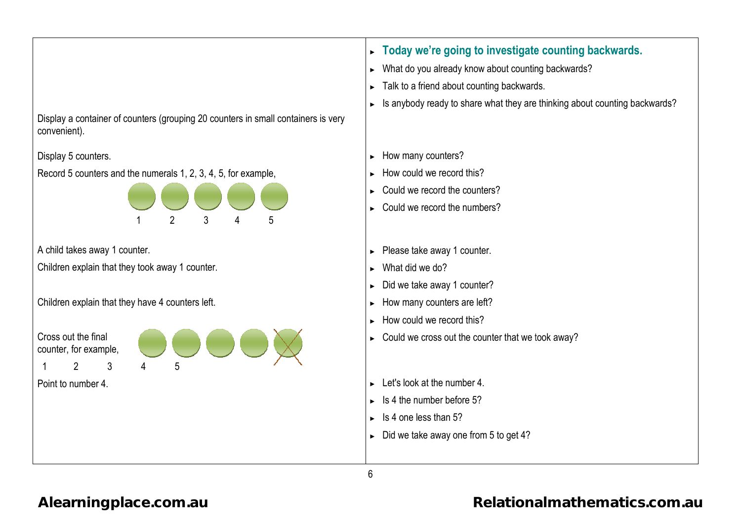# Display a container of counters (grouping 20 counters in small containers is very convenient).

Display 5 counters.

Record 5 counters and the numerals 1, 2, 3, 4, 5, for example,



A child takes away 1 counter.

Children explain that they took away 1 counter.

Children explain that they have 4 counters left.

Cross out the final counter, for example,

1 2 3 4 5

Point to number 4.



- ► Today we're going to investigate counting backwards.
- ► What do you already know about counting backwards?
- ►Talk to a friend about counting backwards.
- ► Talk to a friend about counting backwards.<br>► Is anybody ready to share what they are thinking about counting backwards?
- ► How many counters?
- ► How could we record this?
- ► Could we record the counters?
- ► Could we record the numbers?
- ► Please take away 1 counter.
- ► What did we do?
- ► Did we take away 1 counter?
- ► How many counters are left?
- ► How could we record this?
- ► Could we cross out the counter that we took away?
- ► Let's look at the number 4.
- ► Is 4 the number before 5?
- $\blacktriangleright$  Is 4 one less than 5?
- ► Did we take away one from 5 to get 4?

# **[Alearningplace.com.au](https://alearningplace.com.au/)**

# **[Relationalmathematics.com.au](https://relationalmathematics.com.au/)**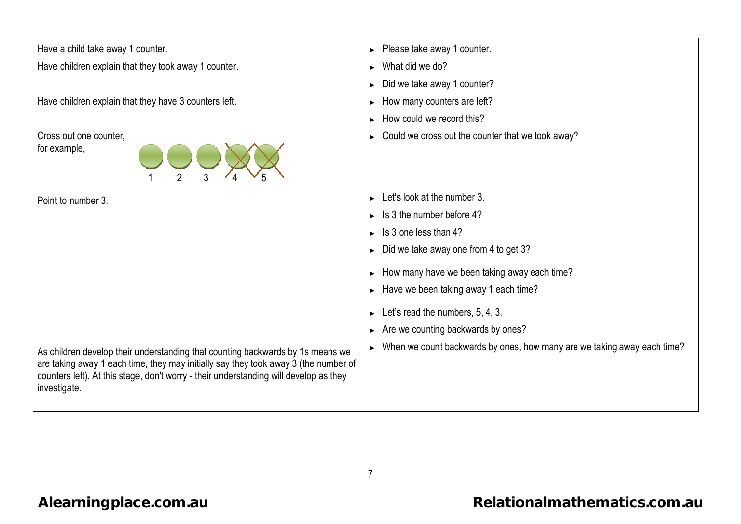| Have a child take away 1 counter.                                                                                                                                                                                                                                              | Please take away 1 counter.                                             |
|--------------------------------------------------------------------------------------------------------------------------------------------------------------------------------------------------------------------------------------------------------------------------------|-------------------------------------------------------------------------|
| Have children explain that they took away 1 counter.                                                                                                                                                                                                                           | What did we do?                                                         |
|                                                                                                                                                                                                                                                                                | Did we take away 1 counter?                                             |
| Have children explain that they have 3 counters left.                                                                                                                                                                                                                          | How many counters are left?                                             |
|                                                                                                                                                                                                                                                                                | How could we record this?                                               |
| Cross out one counter,<br>for example,                                                                                                                                                                                                                                         | Could we cross out the counter that we took away?                       |
| Point to number 3.                                                                                                                                                                                                                                                             | Let's look at the number 3.                                             |
|                                                                                                                                                                                                                                                                                | Is 3 the number before 4?                                               |
|                                                                                                                                                                                                                                                                                | Is 3 one less than 4?                                                   |
|                                                                                                                                                                                                                                                                                | Did we take away one from 4 to get 3?                                   |
|                                                                                                                                                                                                                                                                                | How many have we been taking away each time?                            |
|                                                                                                                                                                                                                                                                                | Have we been taking away 1 each time?                                   |
|                                                                                                                                                                                                                                                                                | Let's read the numbers, 5, 4, 3.                                        |
|                                                                                                                                                                                                                                                                                | Are we counting backwards by ones?                                      |
| As children develop their understanding that counting backwards by 1s means we<br>are taking away 1 each time, they may initially say they took away 3 (the number of<br>counters left). At this stage, don't worry - their understanding will develop as they<br>investigate. | When we count backwards by ones, how many are we taking away each time? |

7